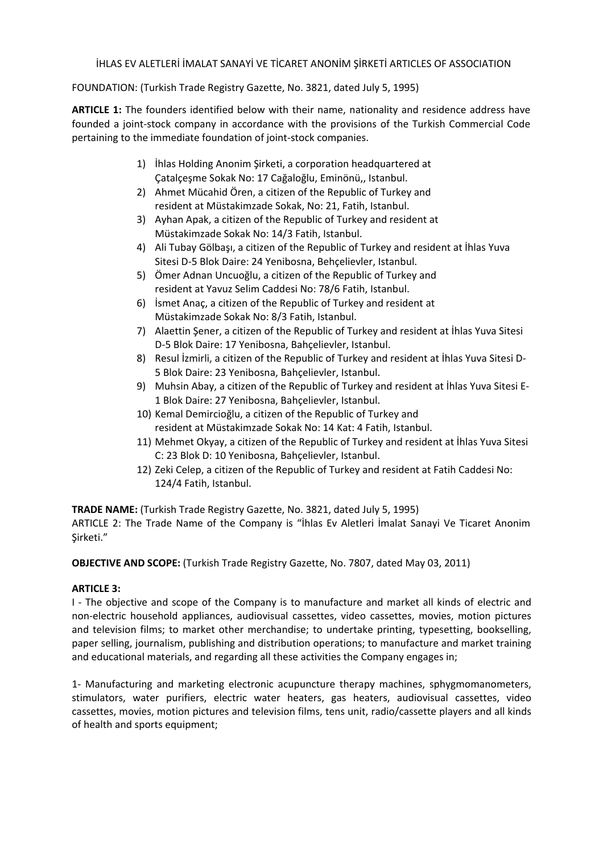İHLAS EV ALETLERİ İMALAT SANAYİ VE TİCARET ANONİM ŞİRKETİ ARTICLES OF ASSOCIATION

FOUNDATION: (Turkish Trade Registry Gazette, No. 3821, dated July 5, 1995)

**ARTICLE 1:** The founders identified below with their name, nationality and residence address have founded a joint‐stock company in accordance with the provisions of the Turkish Commercial Code pertaining to the immediate foundation of joint‐stock companies.

- 1) İhlas Holding Anonim Şirketi, a corporation headquartered at Çatalçeşme Sokak No: 17 Cağaloğlu, Eminönü,, Istanbul.
- 2) Ahmet Mücahid Ören, a citizen of the Republic of Turkey and resident at Müstakimzade Sokak, No: 21, Fatih, Istanbul.
- 3) Ayhan Apak, a citizen of the Republic of Turkey and resident at Müstakimzade Sokak No: 14/3 Fatih, Istanbul.
- 4) Ali Tubay Gölbaşı, a citizen of the Republic of Turkey and resident at İhlas Yuva Sitesi D‐5 Blok Daire: 24 Yenibosna, Behçelievler, Istanbul.
- 5) Ömer Adnan Uncuoğlu, a citizen of the Republic of Turkey and resident at Yavuz Selim Caddesi No: 78/6 Fatih, Istanbul.
- 6) İsmet Anaç, a citizen of the Republic of Turkey and resident at Müstakimzade Sokak No: 8/3 Fatih, Istanbul.
- 7) Alaettin Şener, a citizen of the Republic of Turkey and resident at İhlas Yuva Sitesi D‐5 Blok Daire: 17 Yenibosna, Bahçelievler, Istanbul.
- 8) Resul İzmirli, a citizen of the Republic of Turkey and resident at İhlas Yuva Sitesi D‐ 5 Blok Daire: 23 Yenibosna, Bahçelievler, Istanbul.
- 9) Muhsin Abay, a citizen of the Republic of Turkey and resident at İhlas Yuva Sitesi E‐ 1 Blok Daire: 27 Yenibosna, Bahçelievler, Istanbul.
- 10) Kemal Demircioğlu, a citizen of the Republic of Turkey and resident at Müstakimzade Sokak No: 14 Kat: 4 Fatih, Istanbul.
- 11) Mehmet Okyay, a citizen of the Republic of Turkey and resident at İhlas Yuva Sitesi C: 23 Blok D: 10 Yenibosna, Bahçelievler, Istanbul.
- 12) Zeki Celep, a citizen of the Republic of Turkey and resident at Fatih Caddesi No: 124/4 Fatih, Istanbul.

**TRADE NAME:** (Turkish Trade Registry Gazette, No. 3821, dated July 5, 1995)

ARTICLE 2: The Trade Name of the Company is "İhlas Ev Aletleri İmalat Sanayi Ve Ticaret Anonim Şirketi."

**OBJECTIVE AND SCOPE:** (Turkish Trade Registry Gazette, No. 7807, dated May 03, 2011)

## **ARTICLE 3:**

I - The objective and scope of the Company is to manufacture and market all kinds of electric and non‐electric household appliances, audiovisual cassettes, video cassettes, movies, motion pictures and television films; to market other merchandise; to undertake printing, typesetting, bookselling, paper selling, journalism, publishing and distribution operations; to manufacture and market training and educational materials, and regarding all these activities the Company engages in;

1‐ Manufacturing and marketing electronic acupuncture therapy machines, sphygmomanometers, stimulators, water purifiers, electric water heaters, gas heaters, audiovisual cassettes, video cassettes, movies, motion pictures and television films, tens unit, radio/cassette players and all kinds of health and sports equipment;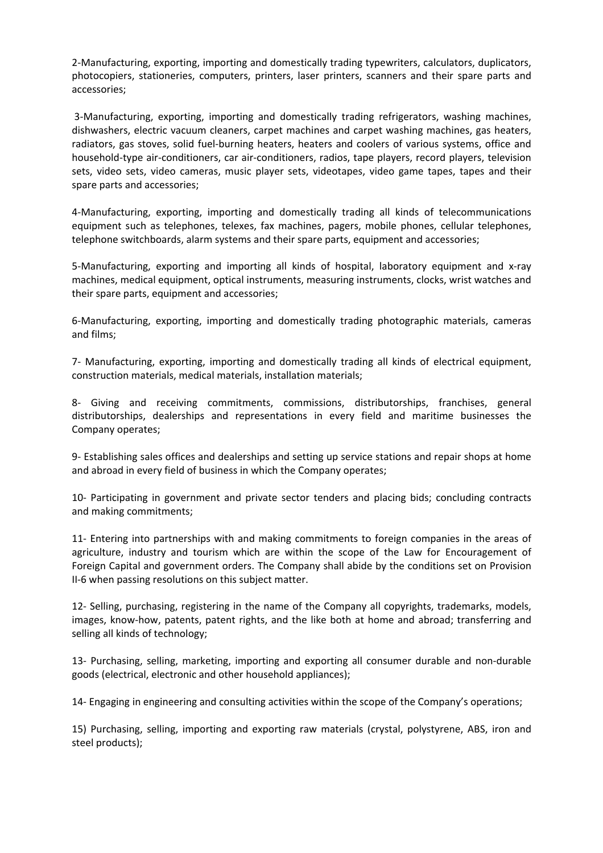2‐Manufacturing, exporting, importing and domestically trading typewriters, calculators, duplicators, photocopiers, stationeries, computers, printers, laser printers, scanners and their spare parts and accessories;

3‐Manufacturing, exporting, importing and domestically trading refrigerators, washing machines, dishwashers, electric vacuum cleaners, carpet machines and carpet washing machines, gas heaters, radiators, gas stoves, solid fuel‐burning heaters, heaters and coolers of various systems, office and household‐type air‐conditioners, car air‐conditioners, radios, tape players, record players, television sets, video sets, video cameras, music player sets, videotapes, video game tapes, tapes and their spare parts and accessories;

4‐Manufacturing, exporting, importing and domestically trading all kinds of telecommunications equipment such as telephones, telexes, fax machines, pagers, mobile phones, cellular telephones, telephone switchboards, alarm systems and their spare parts, equipment and accessories;

5-Manufacturing, exporting and importing all kinds of hospital, laboratory equipment and x-ray machines, medical equipment, optical instruments, measuring instruments, clocks, wrist watches and their spare parts, equipment and accessories;

6‐Manufacturing, exporting, importing and domestically trading photographic materials, cameras and films;

7‐ Manufacturing, exporting, importing and domestically trading all kinds of electrical equipment, construction materials, medical materials, installation materials;

8‐ Giving and receiving commitments, commissions, distributorships, franchises, general distributorships, dealerships and representations in every field and maritime businesses the Company operates;

9‐ Establishing sales offices and dealerships and setting up service stations and repair shops at home and abroad in every field of business in which the Company operates;

10‐ Participating in government and private sector tenders and placing bids; concluding contracts and making commitments;

11- Entering into partnerships with and making commitments to foreign companies in the areas of agriculture, industry and tourism which are within the scope of the Law for Encouragement of Foreign Capital and government orders. The Company shall abide by the conditions set on Provision II‐6 when passing resolutions on this subject matter.

12- Selling, purchasing, registering in the name of the Company all copyrights, trademarks, models, images, know-how, patents, patent rights, and the like both at home and abroad; transferring and selling all kinds of technology;

13– Purchasing, selling, marketing, importing and exporting all consumer durable and non-durable goods (electrical, electronic and other household appliances);

14 Engaging in engineering and consulting activities within the scope of the Company's operations;

15) Purchasing, selling, importing and exporting raw materials (crystal, polystyrene, ABS, iron and steel products);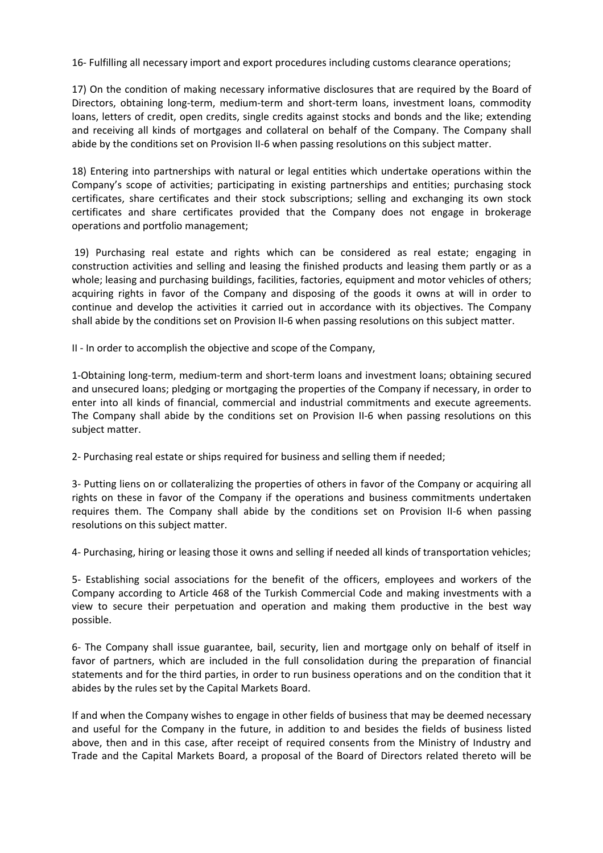16‐ Fulfilling all necessary import and export procedures including customs clearance operations;

17) On the condition of making necessary informative disclosures that are required by the Board of Directors, obtaining long-term, medium-term and short-term loans, investment loans, commodity loans, letters of credit, open credits, single credits against stocks and bonds and the like; extending and receiving all kinds of mortgages and collateral on behalf of the Company. The Company shall abide by the conditions set on Provision II-6 when passing resolutions on this subject matter.

18) Entering into partnerships with natural or legal entities which undertake operations within the Company's scope of activities; participating in existing partnerships and entities; purchasing stock certificates, share certificates and their stock subscriptions; selling and exchanging its own stock certificates and share certificates provided that the Company does not engage in brokerage operations and portfolio management;

19) Purchasing real estate and rights which can be considered as real estate; engaging in construction activities and selling and leasing the finished products and leasing them partly or as a whole; leasing and purchasing buildings, facilities, factories, equipment and motor vehicles of others; acquiring rights in favor of the Company and disposing of the goods it owns at will in order to continue and develop the activities it carried out in accordance with its objectives. The Company shall abide by the conditions set on Provision II-6 when passing resolutions on this subject matter.

II ‐ In order to accomplish the objective and scope of the Company,

1‐Obtaining long‐term, medium‐term and short‐term loans and investment loans; obtaining secured and unsecured loans; pledging or mortgaging the properties of the Company if necessary, in order to enter into all kinds of financial, commercial and industrial commitments and execute agreements. The Company shall abide by the conditions set on Provision II-6 when passing resolutions on this subject matter.

2‐ Purchasing real estate or ships required for business and selling them if needed;

3‐ Putting liens on or collateralizing the properties of others in favor of the Company or acquiring all rights on these in favor of the Company if the operations and business commitments undertaken requires them. The Company shall abide by the conditions set on Provision II‐6 when passing resolutions on this subject matter.

4‐ Purchasing, hiring or leasing those it owns and selling if needed all kinds of transportation vehicles;

5‐ Establishing social associations for the benefit of the officers, employees and workers of the Company according to Article 468 of the Turkish Commercial Code and making investments with a view to secure their perpetuation and operation and making them productive in the best way possible.

6‐ The Company shall issue guarantee, bail, security, lien and mortgage only on behalf of itself in favor of partners, which are included in the full consolidation during the preparation of financial statements and for the third parties, in order to run business operations and on the condition that it abides by the rules set by the Capital Markets Board.

If and when the Company wishes to engage in other fields of business that may be deemed necessary and useful for the Company in the future, in addition to and besides the fields of business listed above, then and in this case, after receipt of required consents from the Ministry of Industry and Trade and the Capital Markets Board, a proposal of the Board of Directors related thereto will be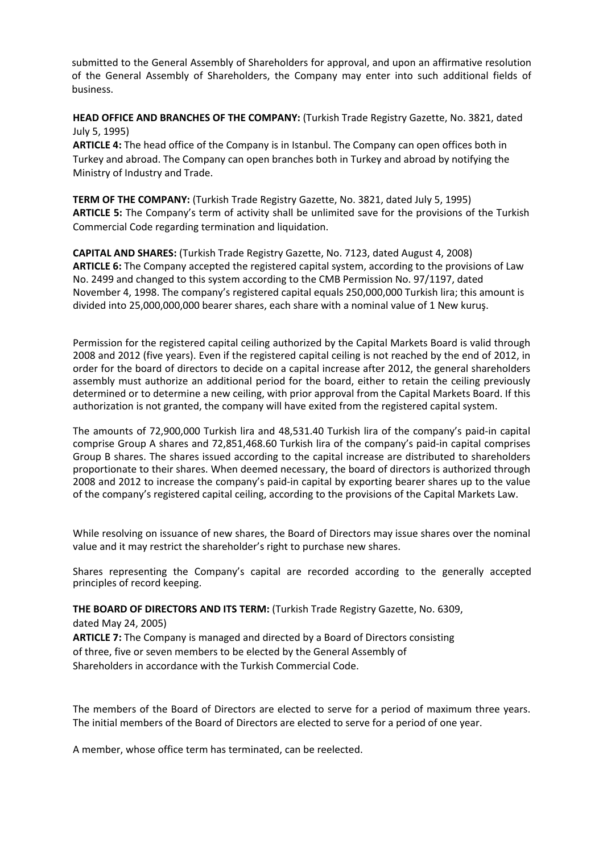submitted to the General Assembly of Shareholders for approval, and upon an affirmative resolution of the General Assembly of Shareholders, the Company may enter into such additional fields of business.

**HEAD OFFICE AND BRANCHES OF THE COMPANY:** (Turkish Trade Registry Gazette, No. 3821, dated July 5, 1995)

**ARTICLE 4:** The head office of the Company is in Istanbul. The Company can open offices both in Turkey and abroad. The Company can open branches both in Turkey and abroad by notifying the Ministry of Industry and Trade.

**TERM OF THE COMPANY:** (Turkish Trade Registry Gazette, No. 3821, dated July 5, 1995) **ARTICLE 5:** The Company's term of activity shall be unlimited save for the provisions of the Turkish Commercial Code regarding termination and liquidation.

**CAPITAL AND SHARES:** (Turkish Trade Registry Gazette, No. 7123, dated August 4, 2008) **ARTICLE 6:** The Company accepted the registered capital system, according to the provisions of Law No. 2499 and changed to this system according to the CMB Permission No. 97/1197, dated November 4, 1998. The company's registered capital equals 250,000,000 Turkish lira; this amount is divided into 25,000,000,000 bearer shares, each share with a nominal value of 1 New kuruş.

Permission for the registered capital ceiling authorized by the Capital Markets Board is valid through 2008 and 2012 (five years). Even if the registered capital ceiling is not reached by the end of 2012, in order for the board of directors to decide on a capital increase after 2012, the general shareholders assembly must authorize an additional period for the board, either to retain the ceiling previously determined or to determine a new ceiling, with prior approval from the Capital Markets Board. If this authorization is not granted, the company will have exited from the registered capital system.

The amounts of 72,900,000 Turkish lira and 48,531.40 Turkish lira of the company's paid‐in capital comprise Group A shares and 72,851,468.60 Turkish lira of the company's paid‐in capital comprises Group B shares. The shares issued according to the capital increase are distributed to shareholders proportionate to their shares. When deemed necessary, the board of directors is authorized through 2008 and 2012 to increase the company's paid‐in capital by exporting bearer shares up to the value of the company's registered capital ceiling, according to the provisions of the Capital Markets Law.

While resolving on issuance of new shares, the Board of Directors may issue shares over the nominal value and it may restrict the shareholder's right to purchase new shares.

Shares representing the Company's capital are recorded according to the generally accepted principles of record keeping.

**THE BOARD OF DIRECTORS AND ITS TERM:** (Turkish Trade Registry Gazette, No. 6309,

dated May 24, 2005)

**ARTICLE 7:** The Company is managed and directed by a Board of Directors consisting of three, five or seven members to be elected by the General Assembly of Shareholders in accordance with the Turkish Commercial Code.

The members of the Board of Directors are elected to serve for a period of maximum three years. The initial members of the Board of Directors are elected to serve for a period of one year.

A member, whose office term has terminated, can be reelected.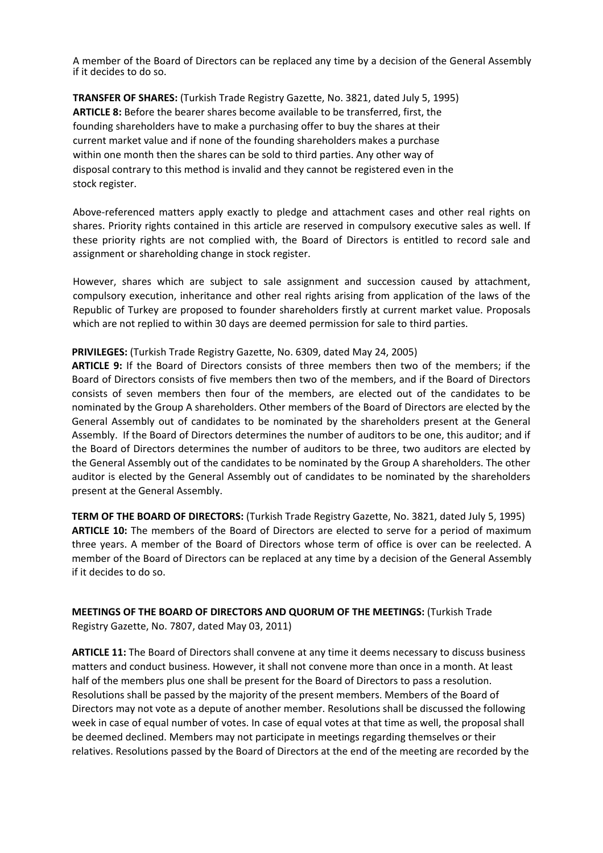A member of the Board of Directors can be replaced any time by a decision of the General Assembly if it decides to do so.

**TRANSFER OF SHARES:** (Turkish Trade Registry Gazette, No. 3821, dated July 5, 1995) **ARTICLE 8:** Before the bearer shares become available to be transferred, first, the founding shareholders have to make a purchasing offer to buy the shares at their current market value and if none of the founding shareholders makes a purchase within one month then the shares can be sold to third parties. Any other way of disposal contrary to this method is invalid and they cannot be registered even in the stock register.

Above‐referenced matters apply exactly to pledge and attachment cases and other real rights on shares. Priority rights contained in this article are reserved in compulsory executive sales as well. If these priority rights are not complied with, the Board of Directors is entitled to record sale and assignment or shareholding change in stock register.

However, shares which are subject to sale assignment and succession caused by attachment, compulsory execution, inheritance and other real rights arising from application of the laws of the Republic of Turkey are proposed to founder shareholders firstly at current market value. Proposals which are not replied to within 30 days are deemed permission for sale to third parties.

#### **PRIVILEGES:** (Turkish Trade Registry Gazette, No. 6309, dated May 24, 2005)

**ARTICLE 9:** If the Board of Directors consists of three members then two of the members; if the Board of Directors consists of five members then two of the members, and if the Board of Directors consists of seven members then four of the members, are elected out of the candidates to be nominated by the Group A shareholders. Other members of the Board of Directors are elected by the General Assembly out of candidates to be nominated by the shareholders present at the General Assembly. If the Board of Directors determines the number of auditors to be one, this auditor; and if the Board of Directors determines the number of auditors to be three, two auditors are elected by the General Assembly out of the candidates to be nominated by the Group A shareholders. The other auditor is elected by the General Assembly out of candidates to be nominated by the shareholders present at the General Assembly.

**TERM OF THE BOARD OF DIRECTORS:** (Turkish Trade Registry Gazette, No. 3821, dated July 5, 1995) **ARTICLE 10:** The members of the Board of Directors are elected to serve for a period of maximum three years. A member of the Board of Directors whose term of office is over can be reelected. A member of the Board of Directors can be replaced at any time by a decision of the General Assembly if it decides to do so.

## **MEETINGS OF THE BOARD OF DIRECTORS AND QUORUM OF THE MEETINGS:** (Turkish Trade Registry Gazette, No. 7807, dated May 03, 2011)

**ARTICLE 11:** The Board of Directors shall convene at any time it deems necessary to discuss business matters and conduct business. However, it shall not convene more than once in a month. At least half of the members plus one shall be present for the Board of Directors to pass a resolution. Resolutions shall be passed by the majority of the present members. Members of the Board of Directors may not vote as a depute of another member. Resolutions shall be discussed the following week in case of equal number of votes. In case of equal votes at that time as well, the proposal shall be deemed declined. Members may not participate in meetings regarding themselves or their relatives. Resolutions passed by the Board of Directors at the end of the meeting are recorded by the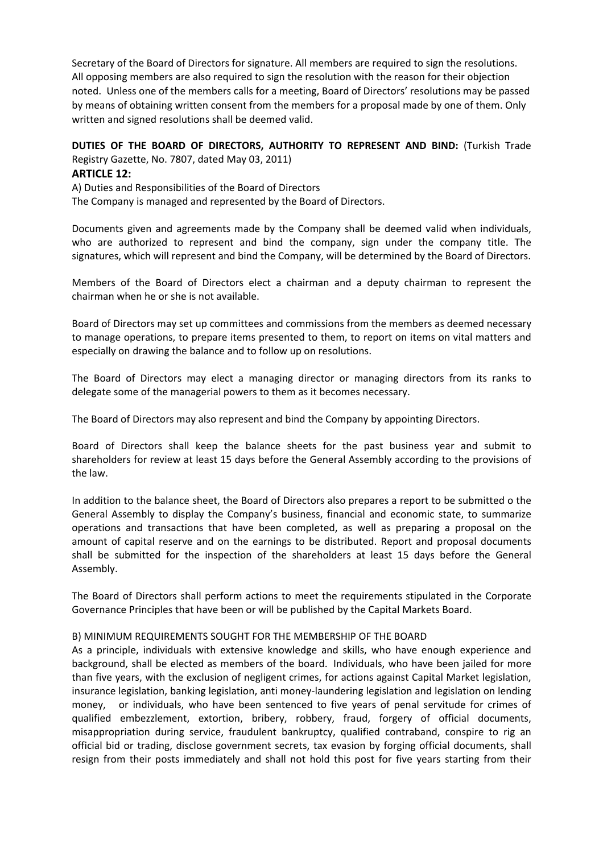Secretary of the Board of Directors for signature. All members are required to sign the resolutions. All opposing members are also required to sign the resolution with the reason for their objection noted. Unless one of the members calls for a meeting, Board of Directors' resolutions may be passed by means of obtaining written consent from the members for a proposal made by one of them. Only written and signed resolutions shall be deemed valid.

# **DUTIES OF THE BOARD OF DIRECTORS, AUTHORITY TO REPRESENT AND BIND:** (Turkish Trade Registry Gazette, No. 7807, dated May 03, 2011)

#### **ARTICLE 12:**

A) Duties and Responsibilities of the Board of Directors The Company is managed and represented by the Board of Directors.

Documents given and agreements made by the Company shall be deemed valid when individuals, who are authorized to represent and bind the company, sign under the company title. The signatures, which will represent and bind the Company, will be determined by the Board of Directors.

Members of the Board of Directors elect a chairman and a deputy chairman to represent the chairman when he or she is not available.

Board of Directors may set up committees and commissions from the members as deemed necessary to manage operations, to prepare items presented to them, to report on items on vital matters and especially on drawing the balance and to follow up on resolutions.

The Board of Directors may elect a managing director or managing directors from its ranks to delegate some of the managerial powers to them as it becomes necessary.

The Board of Directors may also represent and bind the Company by appointing Directors.

Board of Directors shall keep the balance sheets for the past business year and submit to shareholders for review at least 15 days before the General Assembly according to the provisions of the law.

In addition to the balance sheet, the Board of Directors also prepares a report to be submitted o the General Assembly to display the Company's business, financial and economic state, to summarize operations and transactions that have been completed, as well as preparing a proposal on the amount of capital reserve and on the earnings to be distributed. Report and proposal documents shall be submitted for the inspection of the shareholders at least 15 days before the General Assembly.

The Board of Directors shall perform actions to meet the requirements stipulated in the Corporate Governance Principles that have been or will be published by the Capital Markets Board.

#### B) MINIMUM REQUIREMENTS SOUGHT FOR THE MEMBERSHIP OF THE BOARD

As a principle, individuals with extensive knowledge and skills, who have enough experience and background, shall be elected as members of the board. Individuals, who have been jailed for more than five years, with the exclusion of negligent crimes, for actions against Capital Market legislation, insurance legislation, banking legislation, anti money-laundering legislation and legislation on lending money, or individuals, who have been sentenced to five years of penal servitude for crimes of qualified embezzlement, extortion, bribery, robbery, fraud, forgery of official documents, misappropriation during service, fraudulent bankruptcy, qualified contraband, conspire to rig an official bid or trading, disclose government secrets, tax evasion by forging official documents, shall resign from their posts immediately and shall not hold this post for five years starting from their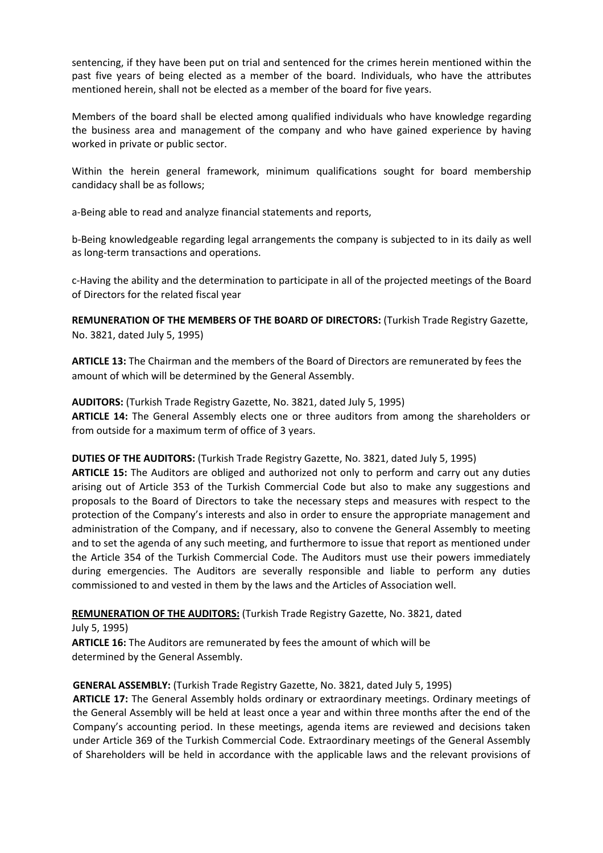sentencing, if they have been put on trial and sentenced for the crimes herein mentioned within the past five years of being elected as a member of the board. Individuals, who have the attributes mentioned herein, shall not be elected as a member of the board for five years.

Members of the board shall be elected among qualified individuals who have knowledge regarding the business area and management of the company and who have gained experience by having worked in private or public sector.

Within the herein general framework, minimum qualifications sought for board membership candidacy shall be as follows;

a‐Being able to read and analyze financial statements and reports,

b‐Being knowledgeable regarding legal arrangements the company is subjected to in its daily as well as long‐term transactions and operations.

c‐Having the ability and the determination to participate in all of the projected meetings of the Board of Directors for the related fiscal year

**REMUNERATION OF THE MEMBERS OF THE BOARD OF DIRECTORS:** (Turkish Trade Registry Gazette, No. 3821, dated July 5, 1995)

**ARTICLE 13:** The Chairman and the members of the Board of Directors are remunerated by fees the amount of which will be determined by the General Assembly.

**AUDITORS:** (Turkish Trade Registry Gazette, No. 3821, dated July 5, 1995) **ARTICLE 14:** The General Assembly elects one or three auditors from among the shareholders or from outside for a maximum term of office of 3 years.

**DUTIES OF THE AUDITORS:** (Turkish Trade Registry Gazette, No. 3821, dated July 5, 1995)

**ARTICLE 15:** The Auditors are obliged and authorized not only to perform and carry out any duties arising out of Article 353 of the Turkish Commercial Code but also to make any suggestions and proposals to the Board of Directors to take the necessary steps and measures with respect to the protection of the Company's interests and also in order to ensure the appropriate management and administration of the Company, and if necessary, also to convene the General Assembly to meeting and to set the agenda of any such meeting, and furthermore to issue that report as mentioned under the Article 354 of the Turkish Commercial Code. The Auditors must use their powers immediately during emergencies. The Auditors are severally responsible and liable to perform any duties commissioned to and vested in them by the laws and the Articles of Association well.

**REMUNERATION OF THE AUDITORS:** (Turkish Trade Registry Gazette, No. 3821, dated

July 5, 1995) **ARTICLE 16:** The Auditors are remunerated by fees the amount of which will be determined by the General Assembly.

#### **GENERAL ASSEMBLY:** (Turkish Trade Registry Gazette, No. 3821, dated July 5, 1995)

**ARTICLE 17:** The General Assembly holds ordinary or extraordinary meetings. Ordinary meetings of the General Assembly will be held at least once a year and within three months after the end of the Company's accounting period. In these meetings, agenda items are reviewed and decisions taken under Article 369 of the Turkish Commercial Code. Extraordinary meetings of the General Assembly of Shareholders will be held in accordance with the applicable laws and the relevant provisions of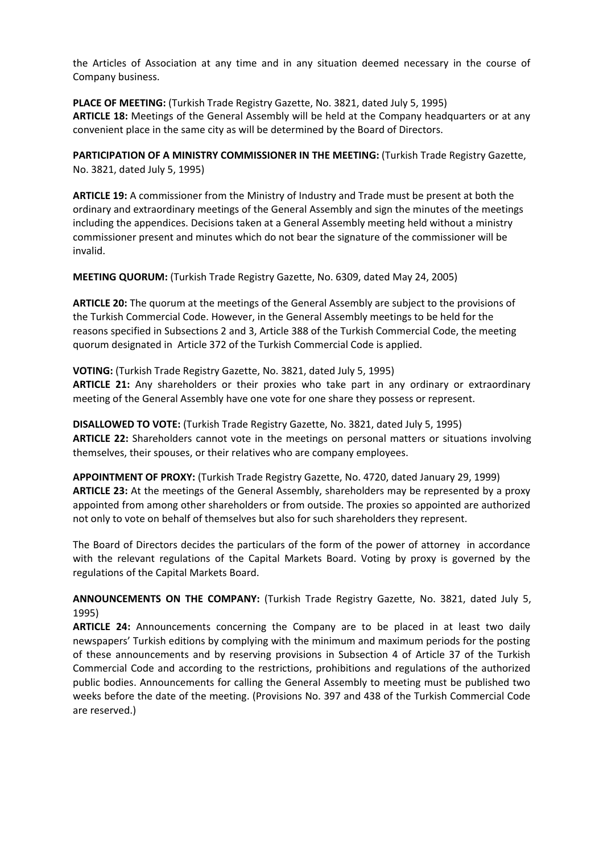the Articles of Association at any time and in any situation deemed necessary in the course of Company business.

**PLACE OF MEETING:** (Turkish Trade Registry Gazette, No. 3821, dated July 5, 1995) **ARTICLE 18:** Meetings of the General Assembly will be held at the Company headquarters or at any convenient place in the same city as will be determined by the Board of Directors.

**PARTICIPATION OF A MINISTRY COMMISSIONER IN THE MEETING:** (Turkish Trade Registry Gazette, No. 3821, dated July 5, 1995)

**ARTICLE 19:** A commissioner from the Ministry of Industry and Trade must be present at both the ordinary and extraordinary meetings of the General Assembly and sign the minutes of the meetings including the appendices. Decisions taken at a General Assembly meeting held without a ministry commissioner present and minutes which do not bear the signature of the commissioner will be invalid.

**MEETING QUORUM:** (Turkish Trade Registry Gazette, No. 6309, dated May 24, 2005)

**ARTICLE 20:** The quorum at the meetings of the General Assembly are subject to the provisions of the Turkish Commercial Code. However, in the General Assembly meetings to be held for the reasons specified in Subsections 2 and 3, Article 388 of the Turkish Commercial Code, the meeting quorum designated in Article 372 of the Turkish Commercial Code is applied.

**VOTING:** (Turkish Trade Registry Gazette, No. 3821, dated July 5, 1995) **ARTICLE 21:** Any shareholders or their proxies who take part in any ordinary or extraordinary meeting of the General Assembly have one vote for one share they possess or represent.

**DISALLOWED TO VOTE:** (Turkish Trade Registry Gazette, No. 3821, dated July 5, 1995) **ARTICLE 22:** Shareholders cannot vote in the meetings on personal matters or situations involving themselves, their spouses, or their relatives who are company employees.

**APPOINTMENT OF PROXY:** (Turkish Trade Registry Gazette, No. 4720, dated January 29, 1999) **ARTICLE 23:** At the meetings of the General Assembly, shareholders may be represented by a proxy appointed from among other shareholders or from outside. The proxies so appointed are authorized not only to vote on behalf of themselves but also for such shareholders they represent.

The Board of Directors decides the particulars of the form of the power of attorney in accordance with the relevant regulations of the Capital Markets Board. Voting by proxy is governed by the regulations of the Capital Markets Board.

**ANNOUNCEMENTS ON THE COMPANY:** (Turkish Trade Registry Gazette, No. 3821, dated July 5, 1995)

**ARTICLE 24:** Announcements concerning the Company are to be placed in at least two daily newspapers' Turkish editions by complying with the minimum and maximum periods for the posting of these announcements and by reserving provisions in Subsection 4 of Article 37 of the Turkish Commercial Code and according to the restrictions, prohibitions and regulations of the authorized public bodies. Announcements for calling the General Assembly to meeting must be published two weeks before the date of the meeting. (Provisions No. 397 and 438 of the Turkish Commercial Code are reserved.)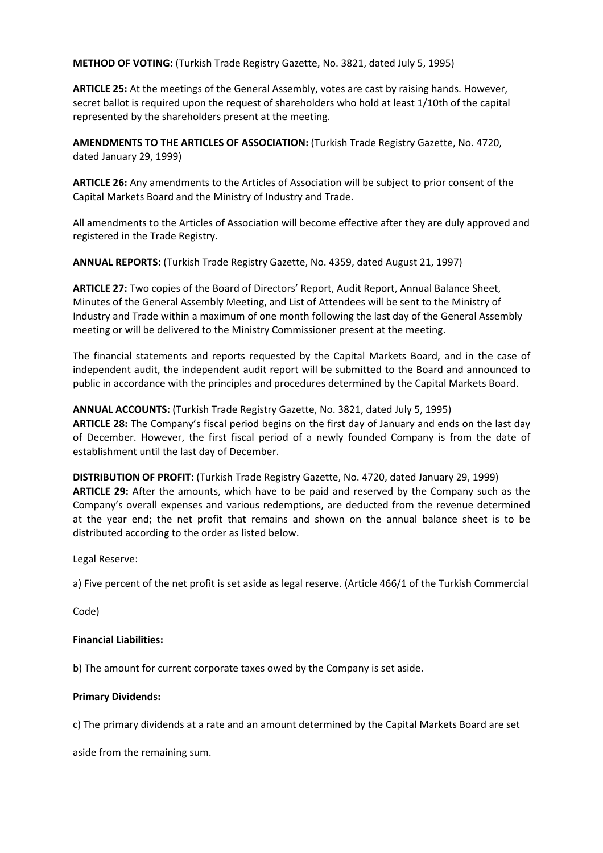**METHOD OF VOTING:** (Turkish Trade Registry Gazette, No. 3821, dated July 5, 1995)

**ARTICLE 25:** At the meetings of the General Assembly, votes are cast by raising hands. However, secret ballot is required upon the request of shareholders who hold at least 1/10th of the capital represented by the shareholders present at the meeting.

**AMENDMENTS TO THE ARTICLES OF ASSOCIATION:** (Turkish Trade Registry Gazette, No. 4720, dated January 29, 1999)

**ARTICLE 26:** Any amendments to the Articles of Association will be subject to prior consent of the Capital Markets Board and the Ministry of Industry and Trade.

All amendments to the Articles of Association will become effective after they are duly approved and registered in the Trade Registry.

**ANNUAL REPORTS:** (Turkish Trade Registry Gazette, No. 4359, dated August 21, 1997)

**ARTICLE 27:** Two copies of the Board of Directors' Report, Audit Report, Annual Balance Sheet, Minutes of the General Assembly Meeting, and List of Attendees will be sent to the Ministry of Industry and Trade within a maximum of one month following the last day of the General Assembly meeting or will be delivered to the Ministry Commissioner present at the meeting.

The financial statements and reports requested by the Capital Markets Board, and in the case of independent audit, the independent audit report will be submitted to the Board and announced to public in accordance with the principles and procedures determined by the Capital Markets Board.

**ANNUAL ACCOUNTS:** (Turkish Trade Registry Gazette, No. 3821, dated July 5, 1995) **ARTICLE 28:** The Company's fiscal period begins on the first day of January and ends on the last day of December. However, the first fiscal period of a newly founded Company is from the date of establishment until the last day of December.

**DISTRIBUTION OF PROFIT:** (Turkish Trade Registry Gazette, No. 4720, dated January 29, 1999) **ARTICLE 29:** After the amounts, which have to be paid and reserved by the Company such as the Company's overall expenses and various redemptions, are deducted from the revenue determined at the year end; the net profit that remains and shown on the annual balance sheet is to be distributed according to the order as listed below.

Legal Reserve:

a) Five percent of the net profit is set aside as legal reserve. (Article 466/1 of the Turkish Commercial

Code)

#### **Financial Liabilities:**

b) The amount for current corporate taxes owed by the Company is set aside.

#### **Primary Dividends:**

c) The primary dividends at a rate and an amount determined by the Capital Markets Board are set

aside from the remaining sum.